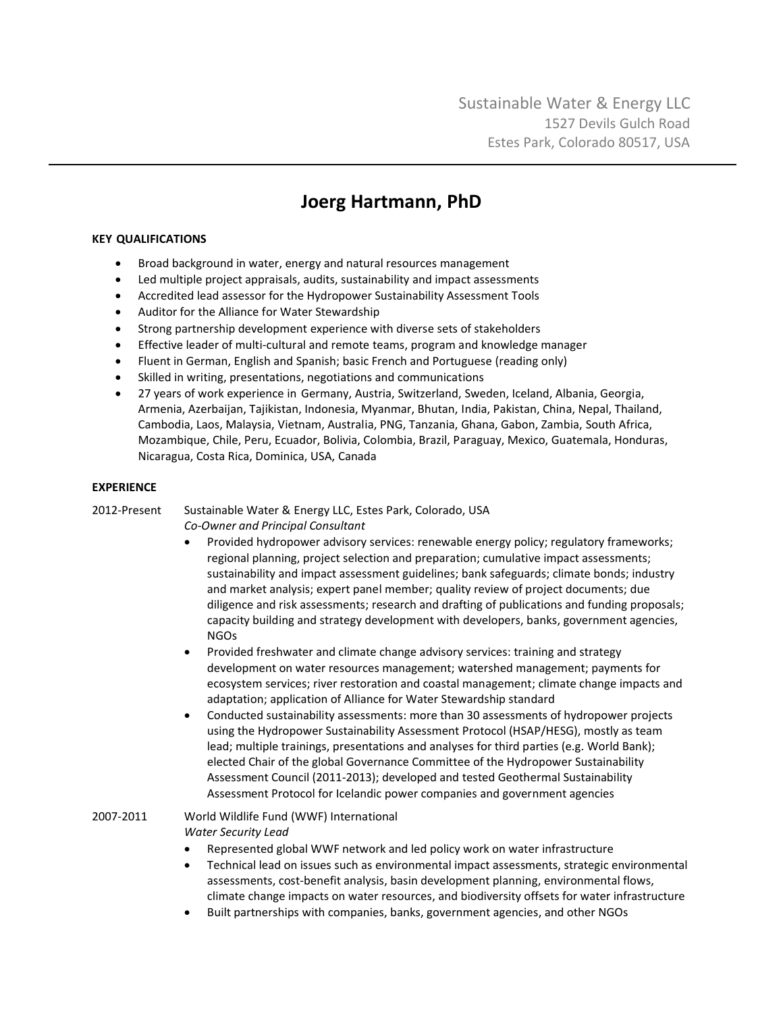## **Joerg Hartmann, PhD**

## **KEY QUALIFICATIONS**

- Broad background in water, energy and natural resources management
- Led multiple project appraisals, audits, sustainability and impact assessments
- Accredited lead assessor for the Hydropower Sustainability Assessment Tools
- Auditor for the Alliance for Water Stewardship
- Strong partnership development experience with diverse sets of stakeholders
- Effective leader of multi-cultural and remote teams, program and knowledge manager
- Fluent in German, English and Spanish; basic French and Portuguese (reading only)
- Skilled in writing, presentations, negotiations and communications
- 27 years of work experience in Germany, Austria, Switzerland, Sweden, Iceland, Albania, Georgia, Armenia, Azerbaijan, Tajikistan, Indonesia, Myanmar, Bhutan, India, Pakistan, China, Nepal, Thailand, Cambodia, Laos, Malaysia, Vietnam, Australia, PNG, Tanzania, Ghana, Gabon, Zambia, South Africa, Mozambique, Chile, Peru, Ecuador, Bolivia, Colombia, Brazil, Paraguay, Mexico, Guatemala, Honduras, Nicaragua, Costa Rica, Dominica, USA, Canada

## **EXPERIENCE**

2012-Present Sustainable Water & Energy LLC, Estes Park, Colorado, USA *Co-Owner and Principal Consultant* 

- Provided hydropower advisory services: renewable energy policy; regulatory frameworks; regional planning, project selection and preparation; cumulative impact assessments; sustainability and impact assessment guidelines; bank safeguards; climate bonds; industry and market analysis; expert panel member; quality review of project documents; due diligence and risk assessments; research and drafting of publications and funding proposals; capacity building and strategy development with developers, banks, government agencies, NGOs
- Provided freshwater and climate change advisory services: training and strategy development on water resources management; watershed management; payments for ecosystem services; river restoration and coastal management; climate change impacts and adaptation; application of Alliance for Water Stewardship standard
- Conducted sustainability assessments: more than 30 assessments of hydropower projects using the Hydropower Sustainability Assessment Protocol (HSAP/HESG), mostly as team lead; multiple trainings, presentations and analyses for third parties (e.g. World Bank); elected Chair of the global Governance Committee of the Hydropower Sustainability Assessment Council (2011-2013); developed and tested Geothermal Sustainability Assessment Protocol for Icelandic power companies and government agencies

2007-2011 World Wildlife Fund (WWF) International *Water Security Lead*

- Represented global WWF network and led policy work on water infrastructure
- Technical lead on issues such as environmental impact assessments, strategic environmental assessments, cost-benefit analysis, basin development planning, environmental flows, climate change impacts on water resources, and biodiversity offsets for water infrastructure
- Built partnerships with companies, banks, government agencies, and other NGOs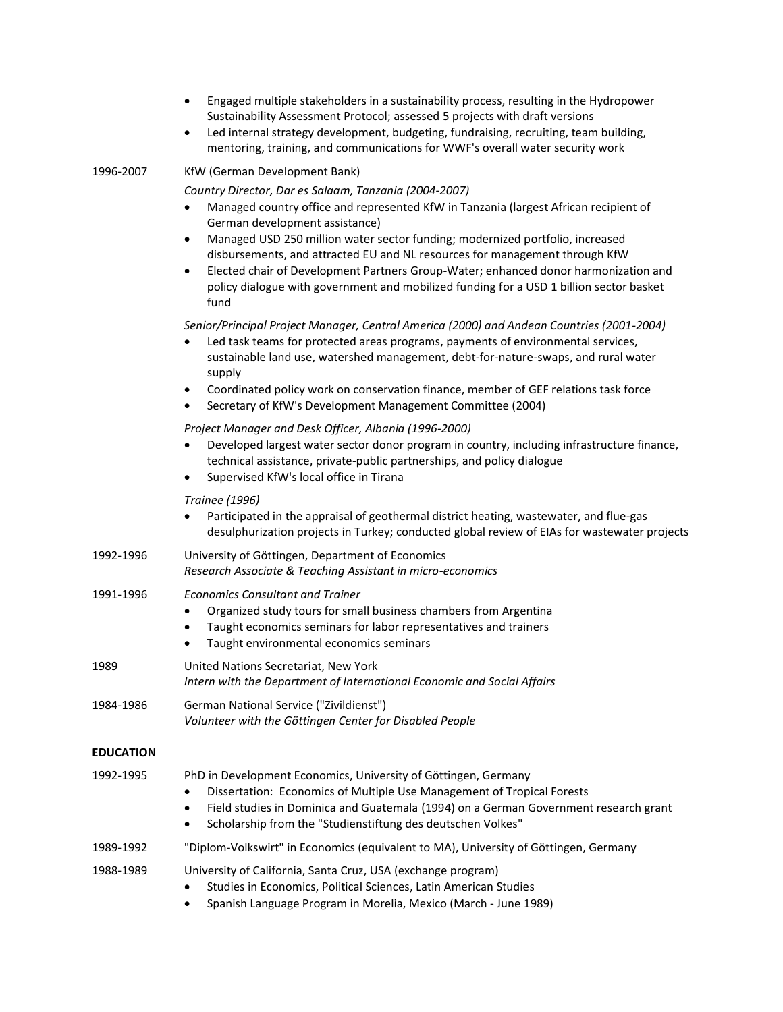|                  | Engaged multiple stakeholders in a sustainability process, resulting in the Hydropower<br>Sustainability Assessment Protocol; assessed 5 projects with draft versions<br>Led internal strategy development, budgeting, fundraising, recruiting, team building,<br>$\bullet$<br>mentoring, training, and communications for WWF's overall water security work                                                                                                                                                                                                                     |
|------------------|----------------------------------------------------------------------------------------------------------------------------------------------------------------------------------------------------------------------------------------------------------------------------------------------------------------------------------------------------------------------------------------------------------------------------------------------------------------------------------------------------------------------------------------------------------------------------------|
| 1996-2007        | KfW (German Development Bank)                                                                                                                                                                                                                                                                                                                                                                                                                                                                                                                                                    |
|                  | Country Director, Dar es Salaam, Tanzania (2004-2007)<br>Managed country office and represented KfW in Tanzania (largest African recipient of<br>$\bullet$<br>German development assistance)<br>Managed USD 250 million water sector funding; modernized portfolio, increased<br>$\bullet$<br>disbursements, and attracted EU and NL resources for management through KfW<br>Elected chair of Development Partners Group-Water; enhanced donor harmonization and<br>$\bullet$<br>policy dialogue with government and mobilized funding for a USD 1 billion sector basket<br>fund |
|                  | Senior/Principal Project Manager, Central America (2000) and Andean Countries (2001-2004)<br>Led task teams for protected areas programs, payments of environmental services,<br>sustainable land use, watershed management, debt-for-nature-swaps, and rural water<br>supply<br>Coordinated policy work on conservation finance, member of GEF relations task force<br>$\bullet$                                                                                                                                                                                                |
|                  | Secretary of KfW's Development Management Committee (2004)                                                                                                                                                                                                                                                                                                                                                                                                                                                                                                                       |
|                  | Project Manager and Desk Officer, Albania (1996-2000)<br>Developed largest water sector donor program in country, including infrastructure finance,<br>technical assistance, private-public partnerships, and policy dialogue<br>Supervised KfW's local office in Tirana<br>$\bullet$                                                                                                                                                                                                                                                                                            |
|                  | <b>Trainee (1996)</b><br>Participated in the appraisal of geothermal district heating, wastewater, and flue-gas<br>$\bullet$<br>desulphurization projects in Turkey; conducted global review of EIAs for wastewater projects                                                                                                                                                                                                                                                                                                                                                     |
| 1992-1996        | University of Göttingen, Department of Economics<br>Research Associate & Teaching Assistant in micro-economics                                                                                                                                                                                                                                                                                                                                                                                                                                                                   |
| 1991-1996        | <b>Economics Consultant and Trainer</b><br>Organized study tours for small business chambers from Argentina<br>$\bullet$<br>Taught economics seminars for labor representatives and trainers<br>$\bullet$<br>Taught environmental economics seminars<br>$\bullet$                                                                                                                                                                                                                                                                                                                |
| 1989             | United Nations Secretariat, New York<br>Intern with the Department of International Economic and Social Affairs                                                                                                                                                                                                                                                                                                                                                                                                                                                                  |
| 1984-1986        | German National Service ("Zivildienst")<br>Volunteer with the Göttingen Center for Disabled People                                                                                                                                                                                                                                                                                                                                                                                                                                                                               |
| <b>EDUCATION</b> |                                                                                                                                                                                                                                                                                                                                                                                                                                                                                                                                                                                  |
| 1992-1995        | PhD in Development Economics, University of Göttingen, Germany<br>Dissertation: Economics of Multiple Use Management of Tropical Forests<br>Field studies in Dominica and Guatemala (1994) on a German Government research grant<br>$\bullet$<br>Scholarship from the "Studienstiftung des deutschen Volkes"<br>$\bullet$                                                                                                                                                                                                                                                        |
| 1989-1992        | "Diplom-Volkswirt" in Economics (equivalent to MA), University of Göttingen, Germany                                                                                                                                                                                                                                                                                                                                                                                                                                                                                             |
| 1988-1989        | University of California, Santa Cruz, USA (exchange program)<br>Studies in Economics, Political Sciences, Latin American Studies<br>Spanish Language Program in Morelia, Mexico (March - June 1989)                                                                                                                                                                                                                                                                                                                                                                              |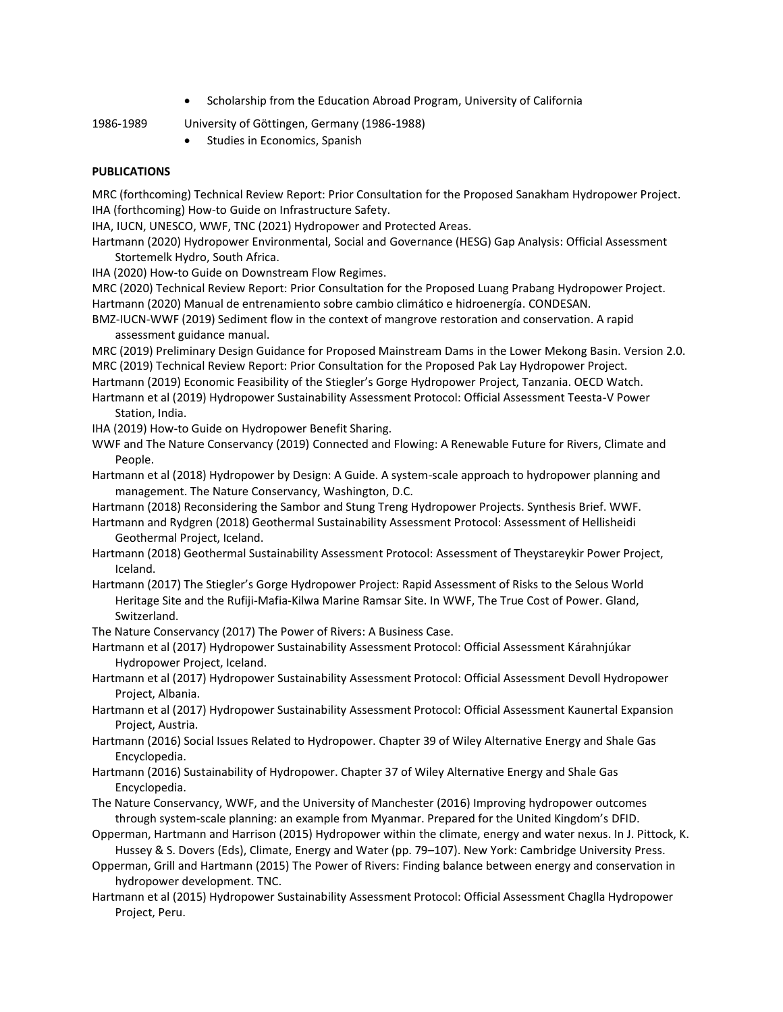• Scholarship from the Education Abroad Program, University of California

- 1986-1989 University of Göttingen, Germany (1986-1988)
	- Studies in Economics, Spanish

## **PUBLICATIONS**

MRC (forthcoming) Technical Review Report: Prior Consultation for the Proposed Sanakham Hydropower Project. IHA (forthcoming) How-to Guide on Infrastructure Safety.

IHA, IUCN, UNESCO, WWF, TNC (2021) Hydropower and Protected Areas.

Hartmann (2020) Hydropower Environmental, Social and Governance (HESG) Gap Analysis: Official Assessment Stortemelk Hydro, South Africa.

IHA (2020) How-to Guide on Downstream Flow Regimes.

MRC (2020) Technical Review Report: Prior Consultation for the Proposed Luang Prabang Hydropower Project. Hartmann (2020) Manual de entrenamiento sobre cambio climático e hidroenergía. CONDESAN.

BMZ-IUCN-WWF (2019) Sediment flow in the context of mangrove restoration and conservation. A rapid assessment guidance manual.

MRC (2019) Preliminary Design Guidance for Proposed Mainstream Dams in the Lower Mekong Basin. Version 2.0. MRC (2019) Technical Review Report: Prior Consultation for the Proposed Pak Lay Hydropower Project.

Hartmann (2019) Economic Feasibility of the Stiegler's Gorge Hydropower Project, Tanzania. OECD Watch.

Hartmann et al (2019) Hydropower Sustainability Assessment Protocol: Official Assessment Teesta-V Power Station, India.

IHA (2019) How-to Guide on Hydropower Benefit Sharing.

WWF and The Nature Conservancy (2019) Connected and Flowing: A Renewable Future for Rivers, Climate and People.

Hartmann et al (2018) Hydropower by Design: A Guide. A system-scale approach to hydropower planning and management. The Nature Conservancy, Washington, D.C.

Hartmann (2018) Reconsidering the Sambor and Stung Treng Hydropower Projects. Synthesis Brief. WWF.

Hartmann and Rydgren (2018) Geothermal Sustainability Assessment Protocol: Assessment of Hellisheidi Geothermal Project, Iceland.

Hartmann (2018) Geothermal Sustainability Assessment Protocol: Assessment of Theystareykir Power Project, Iceland.

Hartmann (2017) The Stiegler's Gorge Hydropower Project: Rapid Assessment of Risks to the Selous World Heritage Site and the Rufiji-Mafia-Kilwa Marine Ramsar Site. In WWF, The True Cost of Power. Gland, Switzerland.

The Nature Conservancy (2017) The Power of Rivers: A Business Case.

Hartmann et al (2017) Hydropower Sustainability Assessment Protocol: Official Assessment Kárahnjúkar Hydropower Project, Iceland.

Hartmann et al (2017) Hydropower Sustainability Assessment Protocol: Official Assessment Devoll Hydropower Project, Albania.

Hartmann et al (2017) Hydropower Sustainability Assessment Protocol: Official Assessment Kaunertal Expansion Project, Austria.

- Hartmann (2016) Social Issues Related to Hydropower. Chapter 39 of Wiley Alternative Energy and Shale Gas Encyclopedia.
- Hartmann (2016) Sustainability of Hydropower. Chapter 37 of Wiley Alternative Energy and Shale Gas Encyclopedia.
- The Nature Conservancy, WWF, and the University of Manchester (2016) Improving hydropower outcomes through system-scale planning: an example from Myanmar. Prepared for the United Kingdom's DFID.
- Opperman, Hartmann and Harrison (2015) Hydropower within the climate, energy and water nexus. In J. Pittock, K. Hussey & S. Dovers (Eds), Climate, Energy and Water (pp. 79–107). New York: Cambridge University Press.
- Opperman, Grill and Hartmann (2015) The Power of Rivers: Finding balance between energy and conservation in hydropower development. TNC.
- Hartmann et al (2015) Hydropower Sustainability Assessment Protocol: Official Assessment Chaglla Hydropower Project, Peru.